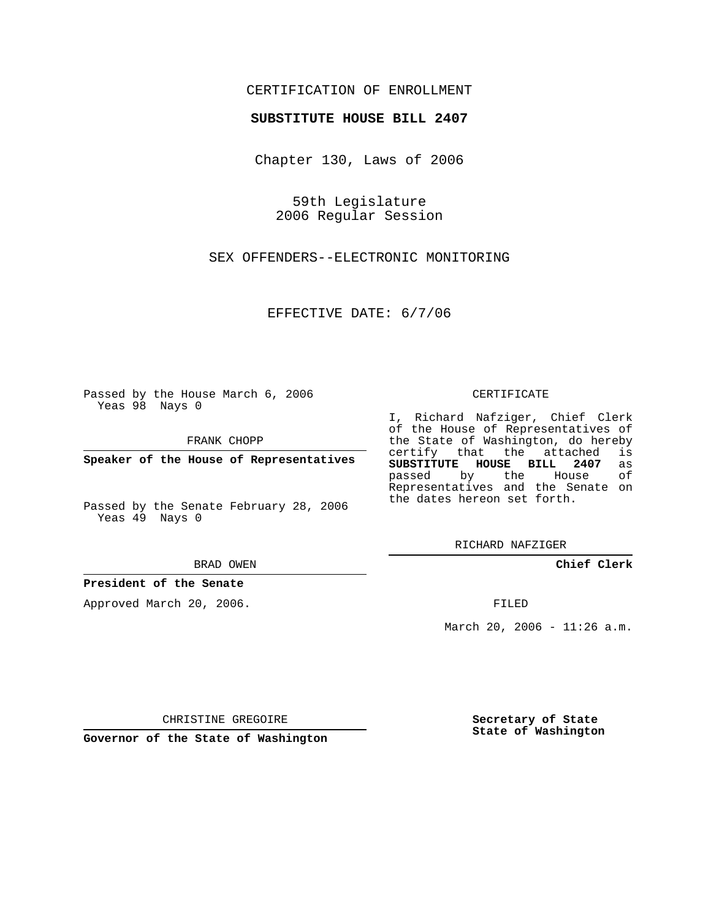## CERTIFICATION OF ENROLLMENT

### **SUBSTITUTE HOUSE BILL 2407**

Chapter 130, Laws of 2006

59th Legislature 2006 Regular Session

SEX OFFENDERS--ELECTRONIC MONITORING

EFFECTIVE DATE: 6/7/06

Passed by the House March 6, 2006 Yeas 98 Nays 0

FRANK CHOPP

**Speaker of the House of Representatives**

Passed by the Senate February 28, 2006 Yeas 49 Nays 0

BRAD OWEN

**President of the Senate**

Approved March 20, 2006.

CERTIFICATE

I, Richard Nafziger, Chief Clerk of the House of Representatives of the State of Washington, do hereby<br>certify that the attached is certify that the attached **SUBSTITUTE HOUSE BILL 2407** as passed by the Representatives and the Senate on the dates hereon set forth.

RICHARD NAFZIGER

**Chief Clerk**

FILED

March 20, 2006 -  $11:26$  a.m.

CHRISTINE GREGOIRE

**Governor of the State of Washington**

**Secretary of State State of Washington**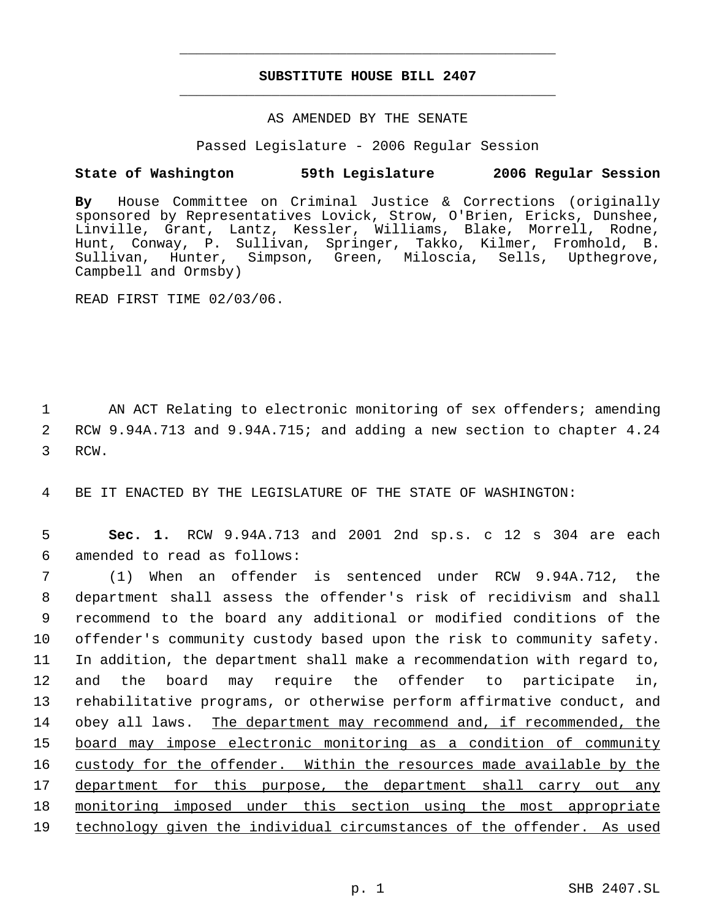# **SUBSTITUTE HOUSE BILL 2407** \_\_\_\_\_\_\_\_\_\_\_\_\_\_\_\_\_\_\_\_\_\_\_\_\_\_\_\_\_\_\_\_\_\_\_\_\_\_\_\_\_\_\_\_\_

\_\_\_\_\_\_\_\_\_\_\_\_\_\_\_\_\_\_\_\_\_\_\_\_\_\_\_\_\_\_\_\_\_\_\_\_\_\_\_\_\_\_\_\_\_

### AS AMENDED BY THE SENATE

Passed Legislature - 2006 Regular Session

## **State of Washington 59th Legislature 2006 Regular Session**

**By** House Committee on Criminal Justice & Corrections (originally sponsored by Representatives Lovick, Strow, O'Brien, Ericks, Dunshee, Linville, Grant, Lantz, Kessler, Williams, Blake, Morrell, Rodne, Hunt, Conway, P. Sullivan, Springer, Takko, Kilmer, Fromhold, B. Sullivan, Hunter, Simpson, Green, Miloscia, Sells, Upthegrove, Campbell and Ormsby)

READ FIRST TIME 02/03/06.

1 AN ACT Relating to electronic monitoring of sex offenders; amending 2 RCW 9.94A.713 and 9.94A.715; and adding a new section to chapter 4.24 3 RCW.

4 BE IT ENACTED BY THE LEGISLATURE OF THE STATE OF WASHINGTON:

 5 **Sec. 1.** RCW 9.94A.713 and 2001 2nd sp.s. c 12 s 304 are each 6 amended to read as follows:

 (1) When an offender is sentenced under RCW 9.94A.712, the department shall assess the offender's risk of recidivism and shall recommend to the board any additional or modified conditions of the offender's community custody based upon the risk to community safety. In addition, the department shall make a recommendation with regard to, and the board may require the offender to participate in, rehabilitative programs, or otherwise perform affirmative conduct, and obey all laws. The department may recommend and, if recommended, the board may impose electronic monitoring as a condition of community 16 custody for the offender. Within the resources made available by the department for this purpose, the department shall carry out any 18 monitoring imposed under this section using the most appropriate technology given the individual circumstances of the offender. As used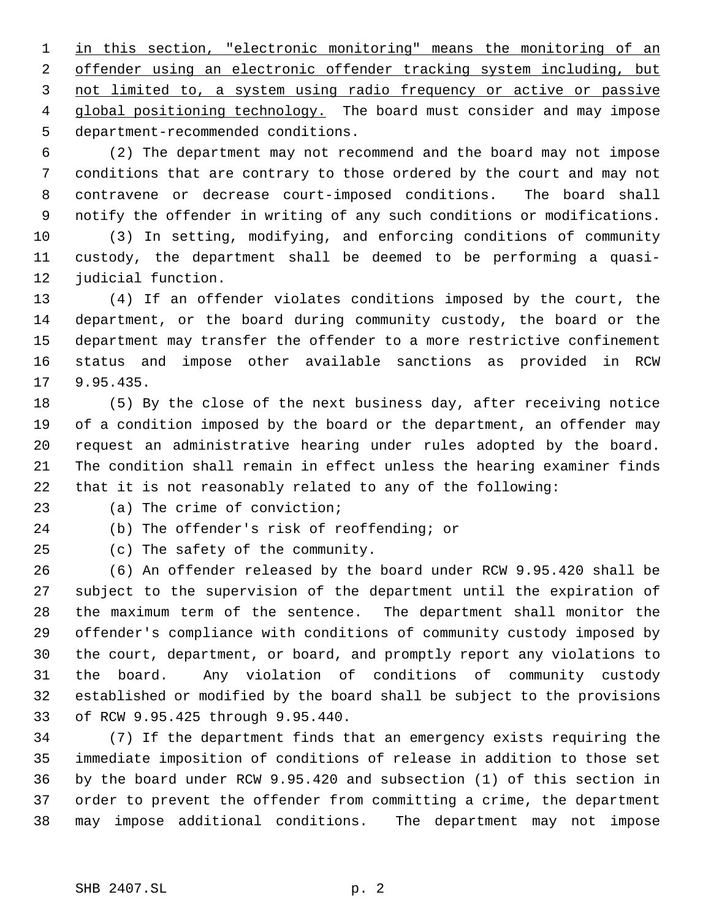in this section, "electronic monitoring" means the monitoring of an 2 offender using an electronic offender tracking system including, but 3 not limited to, a system using radio frequency or active or passive 4 global positioning technology. The board must consider and may impose department-recommended conditions.

 (2) The department may not recommend and the board may not impose conditions that are contrary to those ordered by the court and may not contravene or decrease court-imposed conditions. The board shall notify the offender in writing of any such conditions or modifications.

 (3) In setting, modifying, and enforcing conditions of community custody, the department shall be deemed to be performing a quasi-judicial function.

 (4) If an offender violates conditions imposed by the court, the department, or the board during community custody, the board or the department may transfer the offender to a more restrictive confinement status and impose other available sanctions as provided in RCW 9.95.435.

 (5) By the close of the next business day, after receiving notice of a condition imposed by the board or the department, an offender may request an administrative hearing under rules adopted by the board. The condition shall remain in effect unless the hearing examiner finds that it is not reasonably related to any of the following:

(a) The crime of conviction;

(b) The offender's risk of reoffending; or

(c) The safety of the community.

 (6) An offender released by the board under RCW 9.95.420 shall be subject to the supervision of the department until the expiration of the maximum term of the sentence. The department shall monitor the offender's compliance with conditions of community custody imposed by the court, department, or board, and promptly report any violations to the board. Any violation of conditions of community custody established or modified by the board shall be subject to the provisions of RCW 9.95.425 through 9.95.440.

 (7) If the department finds that an emergency exists requiring the immediate imposition of conditions of release in addition to those set by the board under RCW 9.95.420 and subsection (1) of this section in order to prevent the offender from committing a crime, the department may impose additional conditions. The department may not impose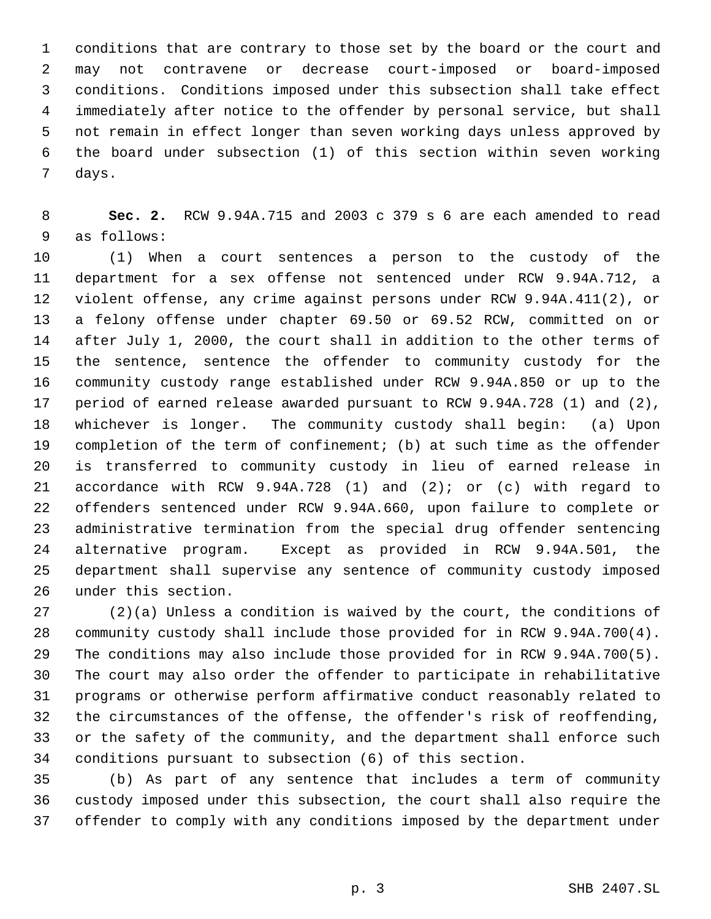conditions that are contrary to those set by the board or the court and may not contravene or decrease court-imposed or board-imposed conditions. Conditions imposed under this subsection shall take effect immediately after notice to the offender by personal service, but shall not remain in effect longer than seven working days unless approved by the board under subsection (1) of this section within seven working days.

 **Sec. 2.** RCW 9.94A.715 and 2003 c 379 s 6 are each amended to read as follows:

 (1) When a court sentences a person to the custody of the department for a sex offense not sentenced under RCW 9.94A.712, a violent offense, any crime against persons under RCW 9.94A.411(2), or a felony offense under chapter 69.50 or 69.52 RCW, committed on or after July 1, 2000, the court shall in addition to the other terms of the sentence, sentence the offender to community custody for the community custody range established under RCW 9.94A.850 or up to the period of earned release awarded pursuant to RCW 9.94A.728 (1) and (2), whichever is longer. The community custody shall begin: (a) Upon completion of the term of confinement; (b) at such time as the offender is transferred to community custody in lieu of earned release in accordance with RCW 9.94A.728 (1) and (2); or (c) with regard to offenders sentenced under RCW 9.94A.660, upon failure to complete or administrative termination from the special drug offender sentencing alternative program. Except as provided in RCW 9.94A.501, the department shall supervise any sentence of community custody imposed under this section.

 (2)(a) Unless a condition is waived by the court, the conditions of community custody shall include those provided for in RCW 9.94A.700(4). The conditions may also include those provided for in RCW 9.94A.700(5). The court may also order the offender to participate in rehabilitative programs or otherwise perform affirmative conduct reasonably related to the circumstances of the offense, the offender's risk of reoffending, or the safety of the community, and the department shall enforce such conditions pursuant to subsection (6) of this section.

 (b) As part of any sentence that includes a term of community custody imposed under this subsection, the court shall also require the offender to comply with any conditions imposed by the department under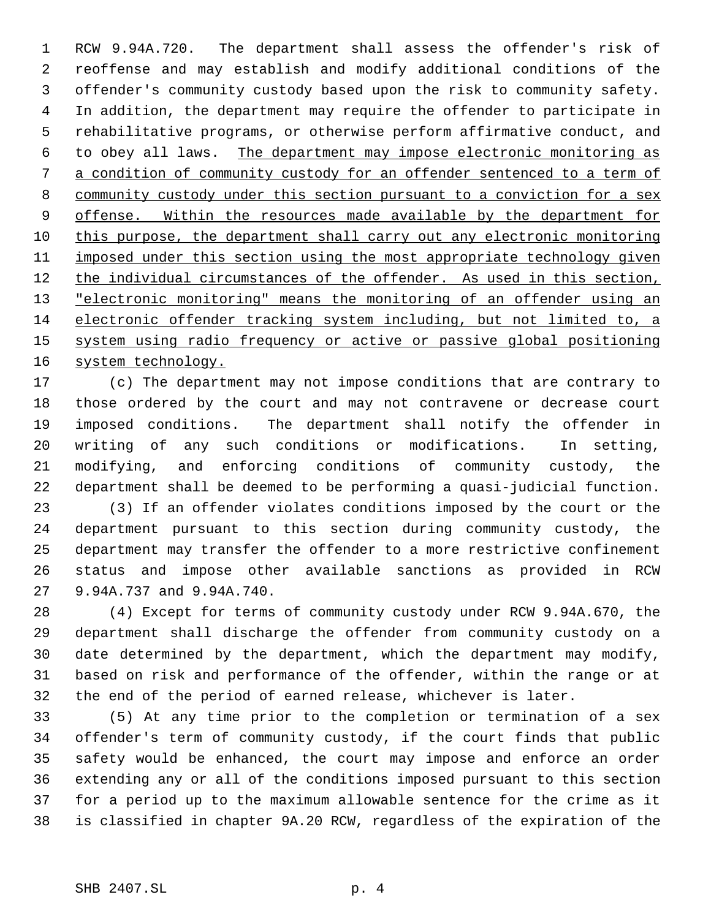RCW 9.94A.720. The department shall assess the offender's risk of reoffense and may establish and modify additional conditions of the offender's community custody based upon the risk to community safety. In addition, the department may require the offender to participate in rehabilitative programs, or otherwise perform affirmative conduct, and to obey all laws. The department may impose electronic monitoring as a condition of community custody for an offender sentenced to a term of community custody under this section pursuant to a conviction for a sex 9 offense. Within the resources made available by the department for this purpose, the department shall carry out any electronic monitoring imposed under this section using the most appropriate technology given 12 the individual circumstances of the offender. As used in this section, 13 "electronic monitoring" means the monitoring of an offender using an electronic offender tracking system including, but not limited to, a system using radio frequency or active or passive global positioning 16 system technology.

 (c) The department may not impose conditions that are contrary to those ordered by the court and may not contravene or decrease court imposed conditions. The department shall notify the offender in writing of any such conditions or modifications. In setting, modifying, and enforcing conditions of community custody, the department shall be deemed to be performing a quasi-judicial function.

 (3) If an offender violates conditions imposed by the court or the department pursuant to this section during community custody, the department may transfer the offender to a more restrictive confinement status and impose other available sanctions as provided in RCW 9.94A.737 and 9.94A.740.

 (4) Except for terms of community custody under RCW 9.94A.670, the department shall discharge the offender from community custody on a date determined by the department, which the department may modify, based on risk and performance of the offender, within the range or at the end of the period of earned release, whichever is later.

 (5) At any time prior to the completion or termination of a sex offender's term of community custody, if the court finds that public safety would be enhanced, the court may impose and enforce an order extending any or all of the conditions imposed pursuant to this section for a period up to the maximum allowable sentence for the crime as it is classified in chapter 9A.20 RCW, regardless of the expiration of the